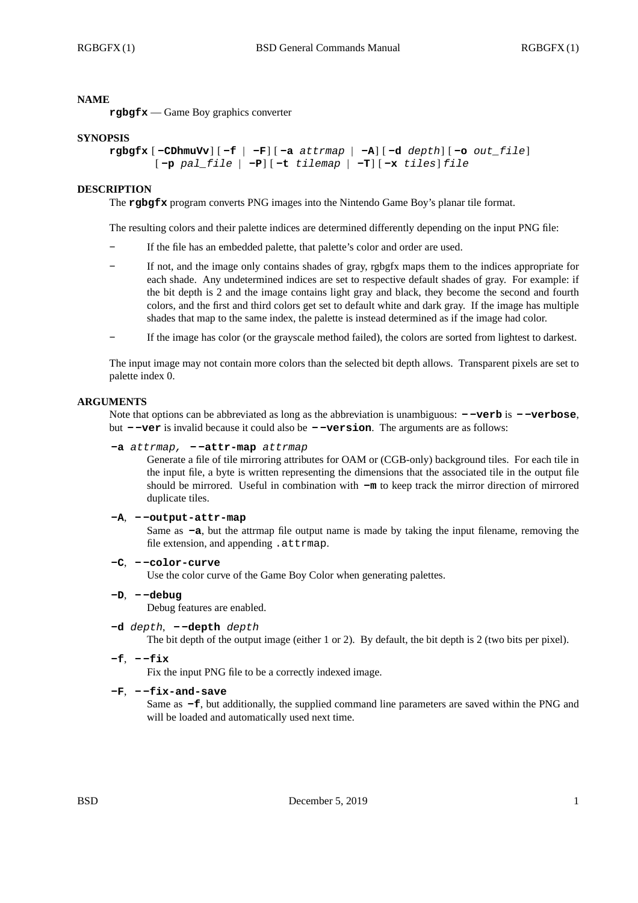#### **NAME**

**rgbgfx** — Game Boy graphics converter

#### **SYNOPSIS**

```
rgbgfx [ -CDhmuVv] [ -f | -F] [ -a attrmap | -A] [ -d depth] [ -o out_file]
[ -p pal_file | -P] [ -t tilemap | -T] [ -x tiles] file
```
#### **DESCRIPTION**

The **rgbgfx** program converts PNG images into the Nintendo Game Boy's planar tile format.

The resulting colors and their palette indices are determined differently depending on the input PNG file:

- **-** If the file has an embedded palette, that palette's color and order are used.
- **-** If not, and the image only contains shades of gray, rgbgfx maps them to the indices appropriate for each shade. Any undetermined indices are set to respective default shades of gray. For example: if the bit depth is 2 and the image contains light gray and black, they become the second and fourth colors, and the first and third colors get set to default white and dark gray. If the image has multiple shades that map to the same index, the palette is instead determined as if the image had color.
- **-** If the image has color (or the grayscale method failed), the colors are sorted from lightest to darkest.

The input image may not contain more colors than the selected bit depth allows. Transparent pixels are set to palette index 0.

#### **ARGUMENTS**

Note that options can be abbreviated as long as the abbreviation is unambiguous: **- -verb** is **- -verbose**, but **- -ver** is invalid because it could also be **- -version**. The arguments are as follows:

#### **-a** *attrmap,* **- -attr-map** *attrmap*

Generate a file of tile mirroring attributes for OAM or (CGB-only) background tiles. For each tile in the input file, a byte is written representing the dimensions that the associated tile in the output file should be mirrored. Useful in combination with **-m** to keep track the mirror direction of mirrored duplicate tiles.

#### **-A**, **- -output-attr-map**

Same as **-a**, but the attrmap file output name is made by taking the input filename, removing the file extension, and appending .attrmap.

# **-C**, **- -color-curve**

Use the color curve of the Game Boy Color when generating palettes.

#### **-D**, **- -debug**

Debug features are enabled.

## **-d** *depth*, **- -depth** *depth*

The bit depth of the output image (either 1 or 2). By default, the bit depth is 2 (two bits per pixel).

**-f**, **- -fix**

Fix the input PNG file to be a correctly indexed image.

#### **-F**, **- -fix-and-save**

Same as **-f**, but additionally, the supplied command line parameters are saved within the PNG and will be loaded and automatically used next time.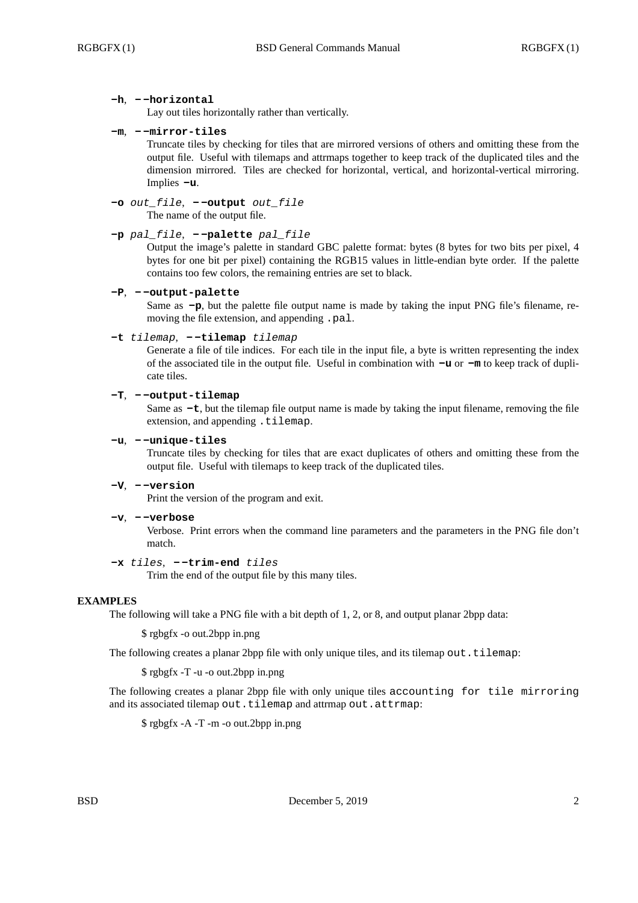#### **-h**, **- -horizontal**

Lay out tiles horizontally rather than vertically.

#### **-m**, **- -mirror-tiles**

Truncate tiles by checking for tiles that are mirrored versions of others and omitting these from the output file. Useful with tilemaps and attrmaps together to keep track of the duplicated tiles and the dimension mirrored. Tiles are checked for horizontal, vertical, and horizontal-vertical mirroring. Implies **-u**.

# **-o** *out\_file*, **- -output** *out\_file*

The name of the output file.

```
-p pal_file, - -palette pal_file
```
Output the image's palette in standard GBC palette format: bytes (8 bytes for two bits per pixel, 4 bytes for one bit per pixel) containing the RGB15 values in little-endian byte order. If the palette contains too few colors, the remaining entries are set to black.

#### **-P**, **- -output-palette**

Same as  $-p$ , but the palette file output name is made by taking the input PNG file's filename, removing the file extension, and appending .pal.

# **-t** *tilemap*, **- -tilemap** *tilemap*

Generate a file of tile indices. For each tile in the input file, a byte is written representing the index of the associated tile in the output file. Useful in combination with **-u** or **-m** to keep track of duplicate tiles.

# **-T**, **- -output-tilemap**

Same as **-t**, but the tilemap file output name is made by taking the input filename, removing the file extension, and appending .tilemap.

## **-u**, **- -unique-tiles**

Truncate tiles by checking for tiles that are exact duplicates of others and omitting these from the output file. Useful with tilemaps to keep track of the duplicated tiles.

## **-V**, **- -version**

Print the version of the program and exit.

#### **-v**, **- -verbose**

Verbose. Print errors when the command line parameters and the parameters in the PNG file don't match.

## **-x** *tiles*, **- -trim-end** *tiles*

Trim the end of the output file by this many tiles.

#### **EXAMPLES**

The following will take a PNG file with a bit depth of 1, 2, or 8, and output planar 2bpp data:

\$ rgbgfx -o out.2bpp in.png

The following creates a planar 2bpp file with only unique tiles, and its tilemap out.tilemap:

\$ rgbgfx -T -u -o out.2bpp in.png

The following creates a planar 2bpp file with only unique tiles accounting for tile mirroring and its associated tilemap out.tilemap and attrmap out.attrmap:

\$ rgbgfx -A -T -m -o out.2bpp in.png